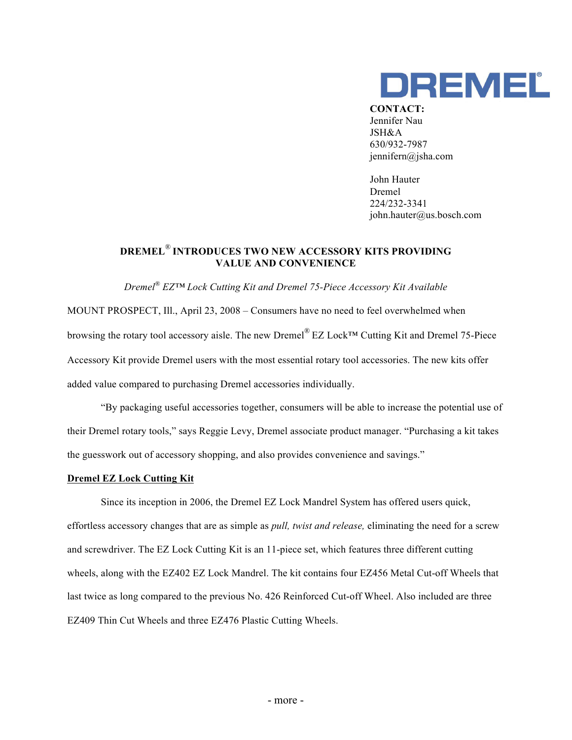

**CONTACT:** Jennifer Nau JSH&A 630/932-7987 jennifern@jsha.com

John Hauter Dremel 224/232-3341 john.hauter@us.bosch.com

## **DREMEL**® **INTRODUCES TWO NEW ACCESSORY KITS PROVIDING VALUE AND CONVENIENCE**

*Dremel® EZ™ Lock Cutting Kit and Dremel 75-Piece Accessory Kit Available* 

MOUNT PROSPECT, Ill., April 23, 2008 – Consumers have no need to feel overwhelmed when browsing the rotary tool accessory aisle. The new Dremel® EZ Lock™ Cutting Kit and Dremel 75-Piece Accessory Kit provide Dremel users with the most essential rotary tool accessories. The new kits offer added value compared to purchasing Dremel accessories individually.

"By packaging useful accessories together, consumers will be able to increase the potential use of their Dremel rotary tools," says Reggie Levy, Dremel associate product manager. "Purchasing a kit takes the guesswork out of accessory shopping, and also provides convenience and savings."

## **Dremel EZ Lock Cutting Kit**

Since its inception in 2006, the Dremel EZ Lock Mandrel System has offered users quick, effortless accessory changes that are as simple as *pull, twist and release,* eliminating the need for a screw and screwdriver. The EZ Lock Cutting Kit is an 11-piece set, which features three different cutting wheels, along with the EZ402 EZ Lock Mandrel. The kit contains four EZ456 Metal Cut-off Wheels that last twice as long compared to the previous No. 426 Reinforced Cut-off Wheel. Also included are three EZ409 Thin Cut Wheels and three EZ476 Plastic Cutting Wheels.